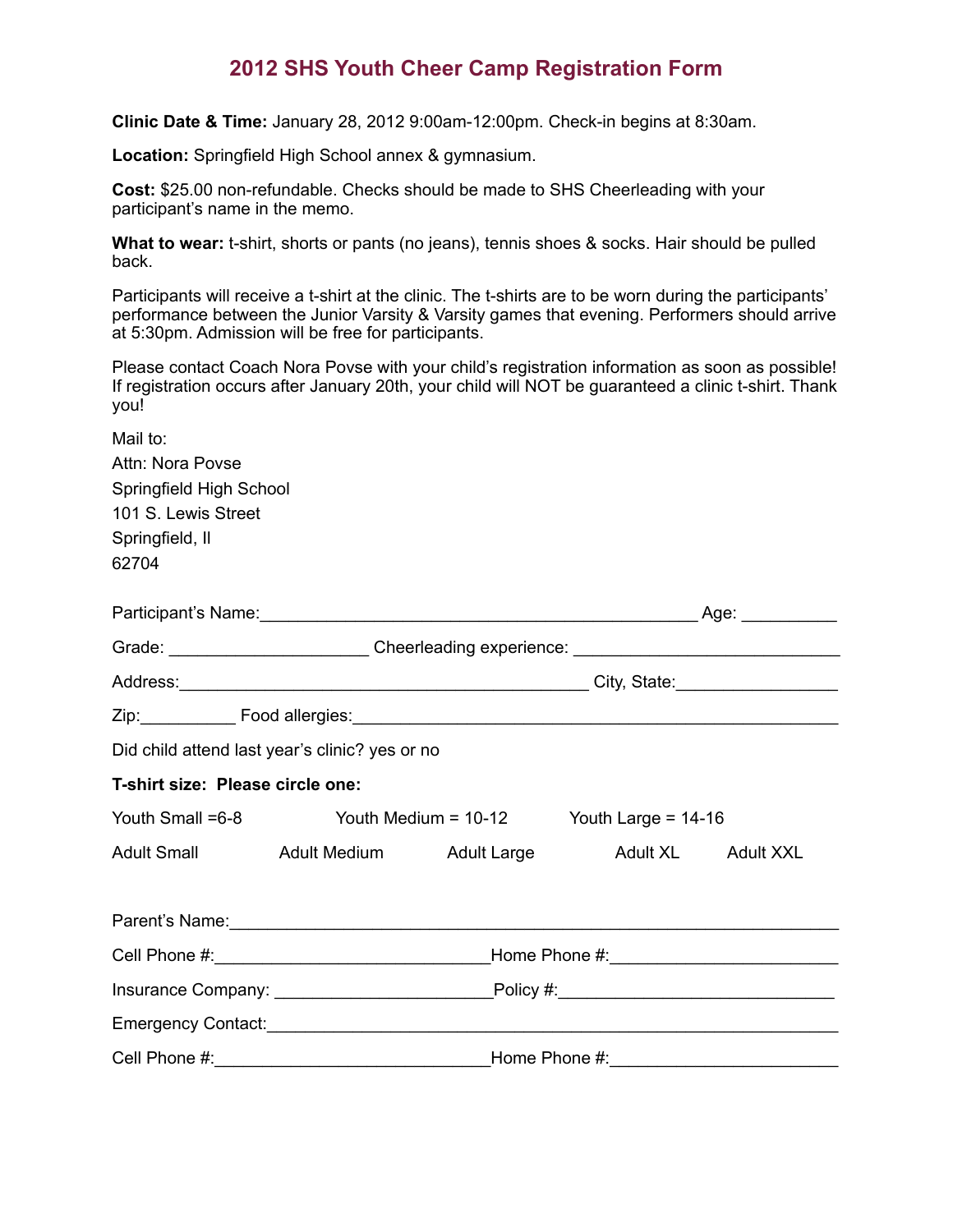## **2012 SHS Youth Cheer Camp Registration Form**

**Clinic Date & Time:** January 28, 2012 9:00am-12:00pm. Check-in begins at 8:30am.

**Location:** Springfield High School annex & gymnasium.

**Cost:** \$25.00 non-refundable. Checks should be made to SHS Cheerleading with your participant's name in the memo.

**What to wear:** t-shirt, shorts or pants (no jeans), tennis shoes & socks. Hair should be pulled back.

Participants will receive a t-shirt at the clinic. The t-shirts are to be worn during the participants' performance between the Junior Varsity & Varsity games that evening. Performers should arrive at 5:30pm. Admission will be free for participants.

Please contact Coach Nora Povse with your child's registration information as soon as possible! If registration occurs after January 20th, your child will NOT be guaranteed a clinic t-shirt. Thank you!

| Mail to:<br>Attn: Nora Povse<br>Springfield High School<br>101 S. Lewis Street<br>Springfield, II |                                                                                                                                                                                                                                                                                                 |  |  |  |  |
|---------------------------------------------------------------------------------------------------|-------------------------------------------------------------------------------------------------------------------------------------------------------------------------------------------------------------------------------------------------------------------------------------------------|--|--|--|--|
| 62704                                                                                             |                                                                                                                                                                                                                                                                                                 |  |  |  |  |
|                                                                                                   | Grade: ___________________________Cheerleading experience: ______________________<br>Did child attend last year's clinic? yes or no<br>T-shirt size: Please circle one:<br>Youth Small =6-8 Youth Medium = 10-12 Youth Large = 14-16<br>Adult Small Adult Medium Adult Large Adult XL Adult XXL |  |  |  |  |
|                                                                                                   |                                                                                                                                                                                                                                                                                                 |  |  |  |  |
|                                                                                                   |                                                                                                                                                                                                                                                                                                 |  |  |  |  |
|                                                                                                   |                                                                                                                                                                                                                                                                                                 |  |  |  |  |
|                                                                                                   |                                                                                                                                                                                                                                                                                                 |  |  |  |  |
|                                                                                                   |                                                                                                                                                                                                                                                                                                 |  |  |  |  |
|                                                                                                   |                                                                                                                                                                                                                                                                                                 |  |  |  |  |
|                                                                                                   |                                                                                                                                                                                                                                                                                                 |  |  |  |  |
|                                                                                                   |                                                                                                                                                                                                                                                                                                 |  |  |  |  |
|                                                                                                   |                                                                                                                                                                                                                                                                                                 |  |  |  |  |
|                                                                                                   |                                                                                                                                                                                                                                                                                                 |  |  |  |  |
|                                                                                                   |                                                                                                                                                                                                                                                                                                 |  |  |  |  |
| Cell Phone #:                                                                                     | <b>Home Phone #:</b>                                                                                                                                                                                                                                                                            |  |  |  |  |